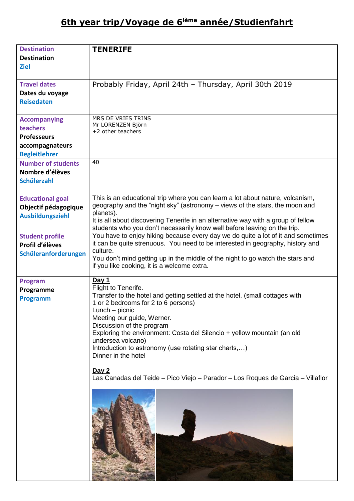# **6th year trip/Voyage de 6ième année/Studienfahrt**

| <b>Destination</b>        | <b>TENERIFE</b>                                                                   |
|---------------------------|-----------------------------------------------------------------------------------|
|                           |                                                                                   |
| <b>Destination</b>        |                                                                                   |
| <b>Ziel</b>               |                                                                                   |
|                           |                                                                                   |
| <b>Travel dates</b>       | Probably Friday, April 24th - Thursday, April 30th 2019                           |
| Dates du voyage           |                                                                                   |
| <b>Reisedaten</b>         |                                                                                   |
|                           |                                                                                   |
|                           | MRS DE VRIES TRINS                                                                |
| <b>Accompanying</b>       | Mr LORENZEN Björn                                                                 |
| teachers                  | +2 other teachers                                                                 |
| <b>Professeurs</b>        |                                                                                   |
| accompagnateurs           |                                                                                   |
| <b>Begleitlehrer</b>      |                                                                                   |
| <b>Number of students</b> | 40                                                                                |
| Nombre d'élèves           |                                                                                   |
| <b>Schülerzahl</b>        |                                                                                   |
|                           |                                                                                   |
| <b>Educational goal</b>   | This is an educational trip where you can learn a lot about nature, volcanism,    |
| Objectif pédagogique      | geography and the "night sky" (astronomy – views of the stars, the moon and       |
|                           | planets).                                                                         |
| <b>Ausbildungsziehl</b>   | It is all about discovering Tenerife in an alternative way with a group of fellow |
|                           | students who you don't necessarily know well before leaving on the trip.          |
| <b>Student profile</b>    | You have to enjoy hiking because every day we do quite a lot of it and sometimes  |
| Profil d'élèves           | it can be quite strenuous. You need to be interested in geography, history and    |
| Schüleranforderungen      | culture.                                                                          |
|                           | You don't mind getting up in the middle of the night to go watch the stars and    |
|                           | if you like cooking, it is a welcome extra.                                       |
|                           |                                                                                   |
| <b>Program</b>            | Day 1<br>Flight to Tenerife.                                                      |
| Programme                 | Transfer to the hotel and getting settled at the hotel. (small cottages with      |
| <b>Programm</b>           | 1 or 2 bedrooms for 2 to 6 persons)                                               |
|                           | Lunch - picnic                                                                    |
|                           | Meeting our guide, Werner.                                                        |
|                           | Discussion of the program                                                         |
|                           | Exploring the environment: Costa del Silencio + yellow mountain (an old           |
|                           | undersea volcano)                                                                 |
|                           | Introduction to astronomy (use rotating star charts,)                             |
|                           | Dinner in the hotel                                                               |
|                           |                                                                                   |
|                           | <u>Day 2</u>                                                                      |
|                           | Las Canadas del Teide – Pico Viejo – Parador – Los Roques de Garcia – Villaflor   |
|                           |                                                                                   |
|                           |                                                                                   |
|                           |                                                                                   |
|                           |                                                                                   |
|                           |                                                                                   |
|                           |                                                                                   |
|                           |                                                                                   |
|                           |                                                                                   |
|                           |                                                                                   |
|                           |                                                                                   |
|                           |                                                                                   |
|                           |                                                                                   |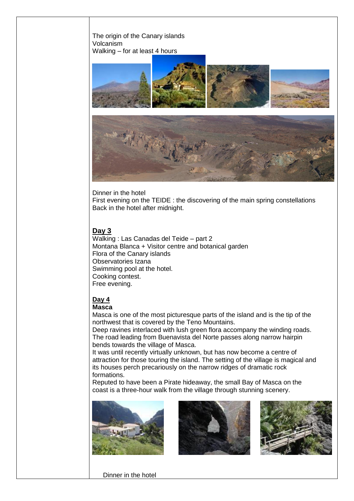



Dinner in the hotel First evening on the TEIDE : the discovering of the main spring constellations Back in the hotel after midnight.

## **Day 3**

Walking : Las Canadas del Teide – part 2 Montana Blanca + Visitor centre and botanical garden Flora of the Canary islands Observatories Izana Swimming pool at the hotel. Cooking contest. Free evening.

# **Day 4**

### **Masca**

Masca is one of the most picturesque parts of the island and is the tip of the northwest that is covered by the Teno Mountains.

Deep ravines interlaced with lush green flora accompany the winding roads. The road leading from Buenavista del Norte passes along narrow hairpin bends towards the village of Masca.

It was until recently virtually unknown, but has now become a centre of attraction for those touring the island. The setting of the village is magical and its houses perch precariously on the narrow ridges of dramatic rock formations.

Reputed to have been a Pirate hideaway, the small Bay of Masca on the coast is a three-hour walk from the village through stunning scenery.







Dinner in the hotel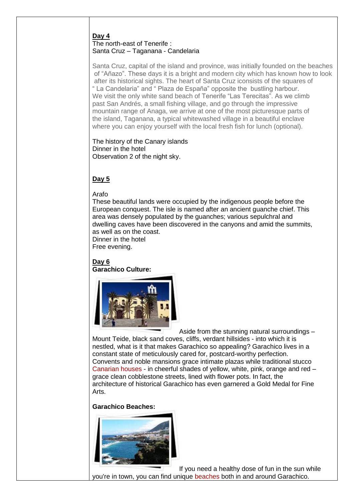## **Day 4**

## The north-east of Tenerife : Santa Cruz – Taganana - Candelaria

Santa Cruz, capital of the island and province, was initially founded on the beaches of "Añazo". These days it is a bright and modern city which has known how to look after its historical sights. The heart of Santa Cruz iconsists of the squares of " La Candelaria" and " Plaza de España" opposite the bustling harbour. We visit the only white sand beach of Tenerife "Las Terecitas". As we climb past San Andrés, a small fishing village, and go through the impressive mountain range of Anaga, we arrive at one of the most picturesque parts of the island, Taganana, a typical whitewashed village in a beautiful enclave where you can enjoy yourself with the local fresh fish for lunch (optional).

The history of the Canary islands Dinner in the hotel Observation 2 of the night sky.

# **Day 5**

### Arafo

These beautiful lands were occupied by the indigenous people before the European conquest. The isle is named after an ancient guanche chief. This area was densely populated by the guanches; various sepulchral and dwelling caves have been discovered in the canyons and amid the summits, as well as on the coast.

Dinner in the hotel

Free evening.

**Day 6 Garachico Culture:**



Aside from the stunning natural surroundings – Mount Teide, black sand coves, cliffs, verdant hillsides - into which it is nestled, what is it that makes Garachico so appealing? Garachico lives in a constant state of meticulously cared for, postcard-worthy perfection. Convents and noble mansions grace intimate plazas while traditional stucco [Canarian houses](http://www.whattenerife.com/canarian-house.html) - in cheerful shades of yellow, white, pink, orange and red – grace clean cobblestone streets, lined with flower pots. In fact, the architecture of historical Garachico has even garnered a Gold Medal for Fine Arts.

### **Garachico Beaches:**



If you need a healthy dose of fun in the sun while you're in town, you can find unique [beaches](http://www.whattenerife.com/tenerife-beach.html) both in and around Garachico.